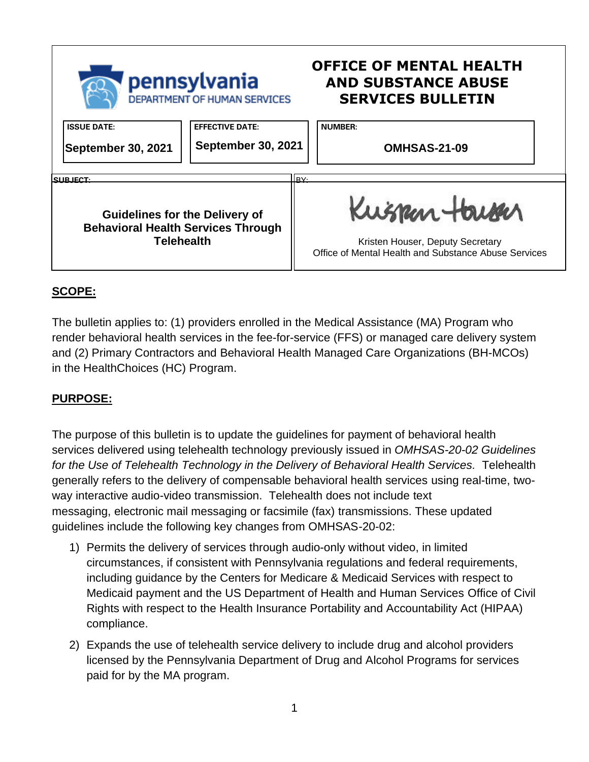

## **SCOPE:**

The bulletin applies to: (1) providers enrolled in the Medical Assistance (MA) Program who render behavioral health services in the fee-for-service (FFS) or managed care delivery system and (2) Primary Contractors and Behavioral Health Managed Care Organizations (BH-MCOs) in the HealthChoices (HC) Program.

## **PURPOSE:**

The purpose of this bulletin is to update the guidelines for payment of behavioral health services delivered using telehealth technology previously issued in *OMHSAS-20-02 Guidelines*  for the Use of Telehealth Technology in the Delivery of Behavioral Health Services. Telehealth generally refers to the delivery of compensable behavioral health services using real-time, twoway interactive audio-video transmission. Telehealth does not include text messaging, electronic mail messaging or facsimile (fax) transmissions. These updated guidelines include the following key changes from OMHSAS-20-02:

- 1) Permits the delivery of services through audio-only without video, in limited circumstances, if consistent with Pennsylvania regulations and federal requirements, including guidance by the Centers for Medicare & Medicaid Services with respect to Medicaid payment and the US Department of Health and Human Services Office of Civil Rights with respect to the Health Insurance Portability and Accountability Act (HIPAA) compliance.
- 2) Expands the use of telehealth service delivery to include drug and alcohol providers licensed by the Pennsylvania Department of Drug and Alcohol Programs for services paid for by the MA program.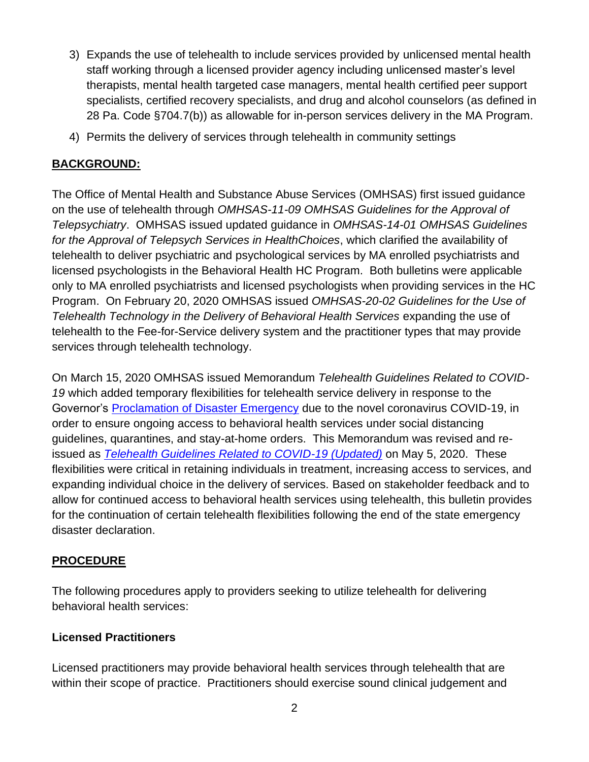- 3) Expands the use of telehealth to include services provided by unlicensed mental health staff working through a licensed provider agency including unlicensed master's level therapists, mental health targeted case managers, mental health certified peer support specialists, certified recovery specialists, and drug and alcohol counselors (as defined in 28 Pa. Code §704.7(b)) as allowable for in-person services delivery in the MA Program.
- 4) Permits the delivery of services through telehealth in community settings

## **BACKGROUND:**

The Office of Mental Health and Substance Abuse Services (OMHSAS) first issued guidance on the use of telehealth through *OMHSAS-11-09 OMHSAS Guidelines for the Approval of Telepsychiatry*. OMHSAS issued updated guidance in *OMHSAS-14-01 OMHSAS Guidelines for the Approval of Telepsych Services in HealthChoices*, which clarified the availability of telehealth to deliver psychiatric and psychological services by MA enrolled psychiatrists and licensed psychologists in the Behavioral Health HC Program. Both bulletins were applicable only to MA enrolled psychiatrists and licensed psychologists when providing services in the HC Program. On February 20, 2020 OMHSAS issued *OMHSAS-20-02 Guidelines for the Use of Telehealth Technology in the Delivery of Behavioral Health Services* expanding the use of telehealth to the Fee-for-Service delivery system and the practitioner types that may provide services through telehealth technology.

On March 15, 2020 OMHSAS issued Memorandum *Telehealth Guidelines Related to COVID-19* which added temporary flexibilities for telehealth service delivery in response to the Governor's [Proclamation of Disaster Emergency](https://www.governor.pa.gov/wp-content/uploads/2020/03/20200306-COVID19-Digital-Proclamation.pdf) due to the novel coronavirus COVID-19, in order to ensure ongoing access to behavioral health services under social distancing guidelines, quarantines, and stay-at-home orders. This Memorandum was revised and reissued as *[Telehealth Guidelines Related to COVID-19 \(Updated\)](https://www.dhs.pa.gov/coronavirus/Pages/OMHSAS-Telehealth-Guidelines.aspx)* on May 5, 2020. These flexibilities were critical in retaining individuals in treatment, increasing access to services, and expanding individual choice in the delivery of services. Based on stakeholder feedback and to allow for continued access to behavioral health services using telehealth, this bulletin provides for the continuation of certain telehealth flexibilities following the end of the state emergency disaster declaration.

### **PROCEDURE**

The following procedures apply to providers seeking to utilize telehealth for delivering behavioral health services:

### **Licensed Practitioners**

Licensed practitioners may provide behavioral health services through telehealth that are within their scope of practice. Practitioners should exercise sound clinical judgement and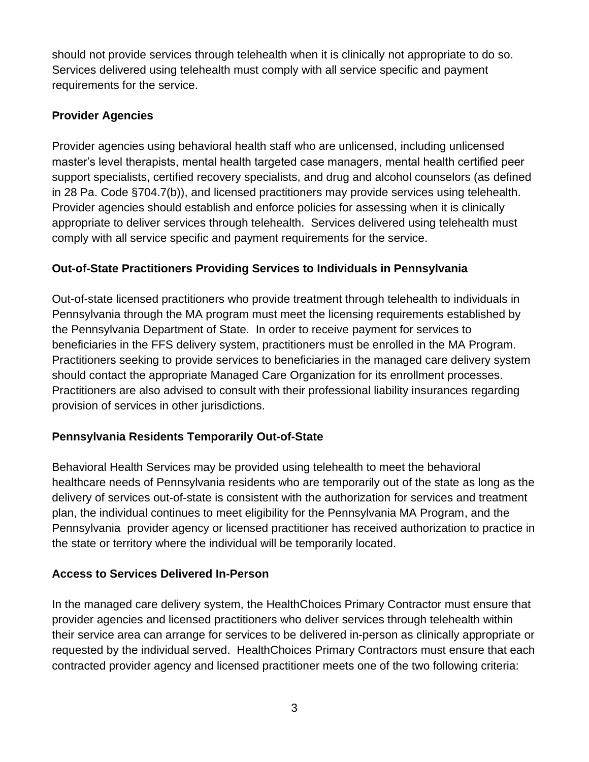should not provide services through telehealth when it is clinically not appropriate to do so. Services delivered using telehealth must comply with all service specific and payment requirements for the service.

## **Provider Agencies**

Provider agencies using behavioral health staff who are unlicensed, including unlicensed master's level therapists, mental health targeted case managers, mental health certified peer support specialists, certified recovery specialists, and drug and alcohol counselors (as defined in 28 Pa. Code §704.7(b)), and licensed practitioners may provide services using telehealth. Provider agencies should establish and enforce policies for assessing when it is clinically appropriate to deliver services through telehealth. Services delivered using telehealth must comply with all service specific and payment requirements for the service.

## **Out-of-State Practitioners Providing Services to Individuals in Pennsylvania**

Out-of-state licensed practitioners who provide treatment through telehealth to individuals in Pennsylvania through the MA program must meet the licensing requirements established by the Pennsylvania Department of State. In order to receive payment for services to beneficiaries in the FFS delivery system, practitioners must be enrolled in the MA Program. Practitioners seeking to provide services to beneficiaries in the managed care delivery system should contact the appropriate Managed Care Organization for its enrollment processes. Practitioners are also advised to consult with their professional liability insurances regarding provision of services in other jurisdictions.

## **Pennsylvania Residents Temporarily Out-of-State**

Behavioral Health Services may be provided using telehealth to meet the behavioral healthcare needs of Pennsylvania residents who are temporarily out of the state as long as the delivery of services out-of-state is consistent with the authorization for services and treatment plan, the individual continues to meet eligibility for the Pennsylvania MA Program, and the Pennsylvania provider agency or licensed practitioner has received authorization to practice in the state or territory where the individual will be temporarily located.

### **Access to Services Delivered In-Person**

In the managed care delivery system, the HealthChoices Primary Contractor must ensure that provider agencies and licensed practitioners who deliver services through telehealth within their service area can arrange for services to be delivered in-person as clinically appropriate or requested by the individual served. HealthChoices Primary Contractors must ensure that each contracted provider agency and licensed practitioner meets one of the two following criteria: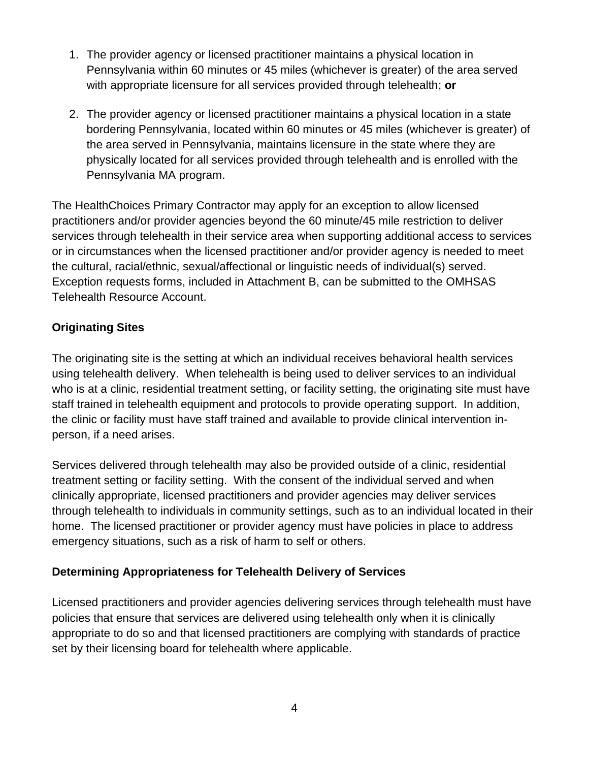- 1. The provider agency or licensed practitioner maintains a physical location in Pennsylvania within 60 minutes or 45 miles (whichever is greater) of the area served with appropriate licensure for all services provided through telehealth; **or**
- 2. The provider agency or licensed practitioner maintains a physical location in a state bordering Pennsylvania, located within 60 minutes or 45 miles (whichever is greater) of the area served in Pennsylvania, maintains licensure in the state where they are physically located for all services provided through telehealth and is enrolled with the Pennsylvania MA program.

The HealthChoices Primary Contractor may apply for an exception to allow licensed practitioners and/or provider agencies beyond the 60 minute/45 mile restriction to deliver services through telehealth in their service area when supporting additional access to services or in circumstances when the licensed practitioner and/or provider agency is needed to meet the cultural, racial/ethnic, sexual/affectional or linguistic needs of individual(s) served. Exception requests forms, included in Attachment B, can be submitted to the OMHSAS Telehealth Resource Account.

## **Originating Sites**

The originating site is the setting at which an individual receives behavioral health services using telehealth delivery. When telehealth is being used to deliver services to an individual who is at a clinic, residential treatment setting, or facility setting, the originating site must have staff trained in telehealth equipment and protocols to provide operating support. In addition, the clinic or facility must have staff trained and available to provide clinical intervention inperson, if a need arises.

Services delivered through telehealth may also be provided outside of a clinic, residential treatment setting or facility setting. With the consent of the individual served and when clinically appropriate, licensed practitioners and provider agencies may deliver services through telehealth to individuals in community settings, such as to an individual located in their home. The licensed practitioner or provider agency must have policies in place to address emergency situations, such as a risk of harm to self or others.

### **Determining Appropriateness for Telehealth Delivery of Services**

Licensed practitioners and provider agencies delivering services through telehealth must have policies that ensure that services are delivered using telehealth only when it is clinically appropriate to do so and that licensed practitioners are complying with standards of practice set by their licensing board for telehealth where applicable.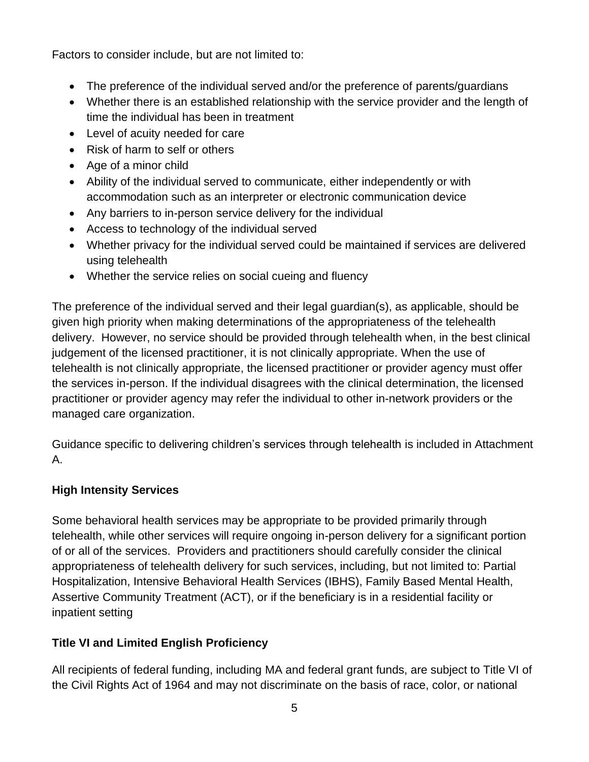Factors to consider include, but are not limited to:

- The preference of the individual served and/or the preference of parents/guardians
- Whether there is an established relationship with the service provider and the length of time the individual has been in treatment
- Level of acuity needed for care
- Risk of harm to self or others
- Age of a minor child
- Ability of the individual served to communicate, either independently or with accommodation such as an interpreter or electronic communication device
- Any barriers to in-person service delivery for the individual
- Access to technology of the individual served
- Whether privacy for the individual served could be maintained if services are delivered using telehealth
- Whether the service relies on social cueing and fluency

The preference of the individual served and their legal guardian(s), as applicable, should be given high priority when making determinations of the appropriateness of the telehealth delivery. However, no service should be provided through telehealth when, in the best clinical judgement of the licensed practitioner, it is not clinically appropriate. When the use of telehealth is not clinically appropriate, the licensed practitioner or provider agency must offer the services in-person. If the individual disagrees with the clinical determination, the licensed practitioner or provider agency may refer the individual to other in-network providers or the managed care organization.

Guidance specific to delivering children's services through telehealth is included in Attachment A.

# **High Intensity Services**

Some behavioral health services may be appropriate to be provided primarily through telehealth, while other services will require ongoing in-person delivery for a significant portion of or all of the services. Providers and practitioners should carefully consider the clinical appropriateness of telehealth delivery for such services, including, but not limited to: Partial Hospitalization, Intensive Behavioral Health Services (IBHS), Family Based Mental Health, Assertive Community Treatment (ACT), or if the beneficiary is in a residential facility or inpatient setting

# **Title VI and Limited English Proficiency**

All recipients of federal funding, including MA and federal grant funds, are subject to Title VI of the Civil Rights Act of 1964 and may not discriminate on the basis of race, color, or national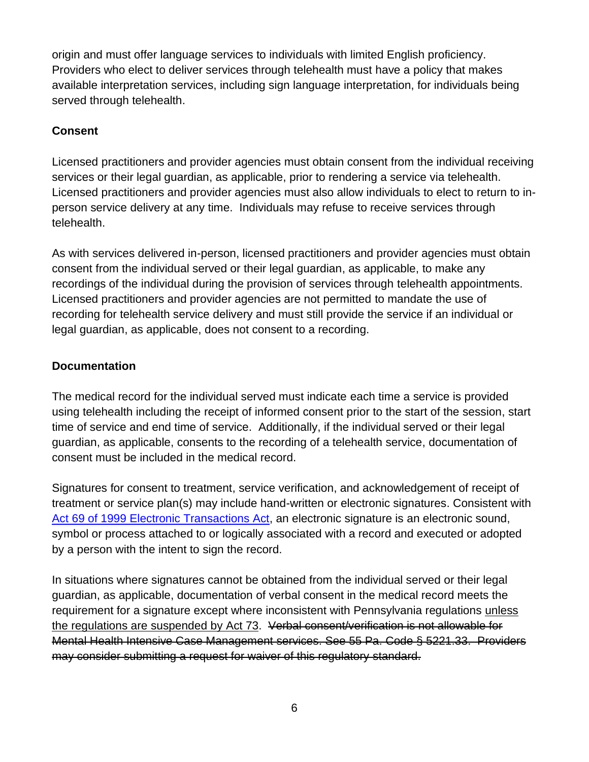origin and must offer language services to individuals with limited English proficiency. Providers who elect to deliver services through telehealth must have a policy that makes available interpretation services, including sign language interpretation, for individuals being served through telehealth.

## **Consent**

Licensed practitioners and provider agencies must obtain consent from the individual receiving services or their legal guardian, as applicable, prior to rendering a service via telehealth. Licensed practitioners and provider agencies must also allow individuals to elect to return to inperson service delivery at any time. Individuals may refuse to receive services through telehealth.

As with services delivered in-person, licensed practitioners and provider agencies must obtain consent from the individual served or their legal guardian, as applicable, to make any recordings of the individual during the provision of services through telehealth appointments. Licensed practitioners and provider agencies are not permitted to mandate the use of recording for telehealth service delivery and must still provide the service if an individual or legal guardian, as applicable, does not consent to a recording.

### **Documentation**

The medical record for the individual served must indicate each time a service is provided using telehealth including the receipt of informed consent prior to the start of the session, start time of service and end time of service. Additionally, if the individual served or their legal guardian, as applicable, consents to the recording of a telehealth service, documentation of consent must be included in the medical record.

Signatures for consent to treatment, service verification, and acknowledgement of receipt of treatment or service plan(s) may include hand-written or electronic signatures. Consistent with Act 69 of 1999 [Electronic Transactions Act,](https://www.legis.state.pa.us/cfdocs/legis/li/uconsCheck.cfm?yr=1999&sessInd=0&act=69) an electronic signature is an electronic sound, symbol or process attached to or logically associated with a record and executed or adopted by a person with the intent to sign the record.

In situations where signatures cannot be obtained from the individual served or their legal guardian, as applicable, documentation of verbal consent in the medical record meets the requirement for a signature except where inconsistent with Pennsylvania regulations unless the regulations are suspended by Act 73. Verbal consent/verification is not allowable for Mental Health Intensive Case Management services. See 55 Pa. Code § 5221.33. Providers may consider submitting a request for waiver of this regulatory standard.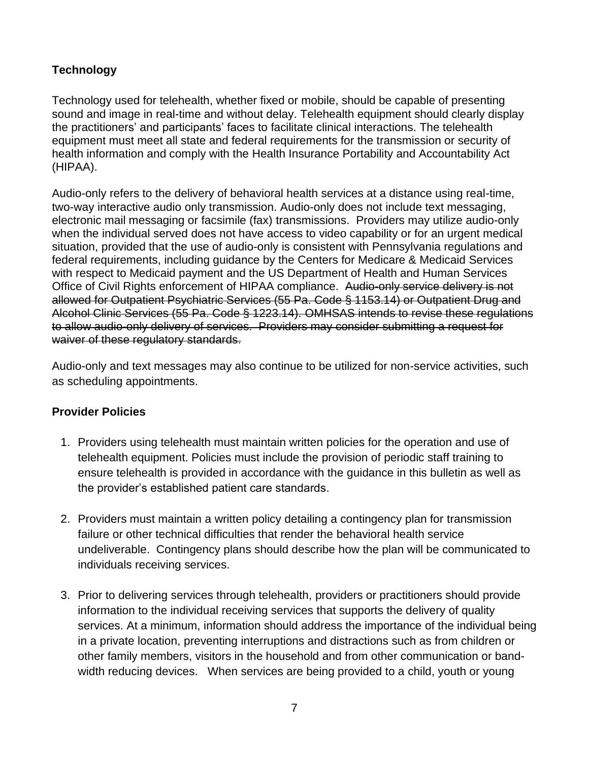## **Technology**

Technology used for telehealth, whether fixed or mobile, should be capable of presenting sound and image in real-time and without delay. Telehealth equipment should clearly display the practitioners' and participants' faces to facilitate clinical interactions. The telehealth equipment must meet all state and federal requirements for the transmission or security of health information and comply with the Health Insurance Portability and Accountability Act (HIPAA).

Audio-only refers to the delivery of behavioral health services at a distance using real-time, two-way interactive audio only transmission. Audio-only does not include text messaging, electronic mail messaging or facsimile (fax) transmissions. Providers may utilize audio-only when the individual served does not have access to video capability or for an urgent medical situation, provided that the use of audio-only is consistent with Pennsylvania regulations and federal requirements, including guidance by the Centers for Medicare & Medicaid Services with respect to Medicaid payment and the US Department of Health and Human Services Office of Civil Rights enforcement of HIPAA compliance. Audio-only service delivery is not allowed for Outpatient Psychiatric Services (55 Pa. Code § 1153.14) or Outpatient Drug and Alcohol Clinic Services (55 Pa. Code § 1223.14). OMHSAS intends to revise these regulations to allow audio-only delivery of services. Providers may consider submitting a request for waiver of these regulatory standards.

Audio-only and text messages may also continue to be utilized for non-service activities, such as scheduling appointments.

### **Provider Policies**

- 1. Providers using telehealth must maintain written policies for the operation and use of telehealth equipment. Policies must include the provision of periodic staff training to ensure telehealth is provided in accordance with the guidance in this bulletin as well as the provider's established patient care standards.
- 2. Providers must maintain a written policy detailing a contingency plan for transmission failure or other technical difficulties that render the behavioral health service undeliverable. Contingency plans should describe how the plan will be communicated to individuals receiving services.
- 3. Prior to delivering services through telehealth, providers or practitioners should provide information to the individual receiving services that supports the delivery of quality services. At a minimum, information should address the importance of the individual being in a private location, preventing interruptions and distractions such as from children or other family members, visitors in the household and from other communication or bandwidth reducing devices. When services are being provided to a child, youth or young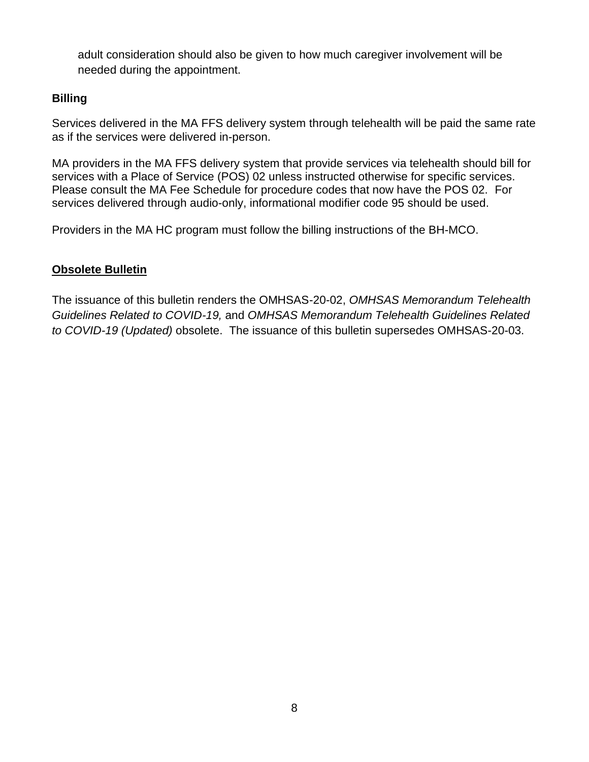adult consideration should also be given to how much caregiver involvement will be needed during the appointment.

### **Billing**

Services delivered in the MA FFS delivery system through telehealth will be paid the same rate as if the services were delivered in-person.

MA providers in the MA FFS delivery system that provide services via telehealth should bill for services with a Place of Service (POS) 02 unless instructed otherwise for specific services. Please consult the MA Fee Schedule for procedure codes that now have the POS 02. For services delivered through audio-only, informational modifier code 95 should be used.

Providers in the MA HC program must follow the billing instructions of the BH-MCO.

## **Obsolete Bulletin**

The issuance of this bulletin renders the OMHSAS-20-02, *OMHSAS Memorandum Telehealth Guidelines Related to COVID-19,* and *OMHSAS Memorandum Telehealth Guidelines Related to COVID-19 (Updated)* obsolete. The issuance of this bulletin supersedes OMHSAS-20-03.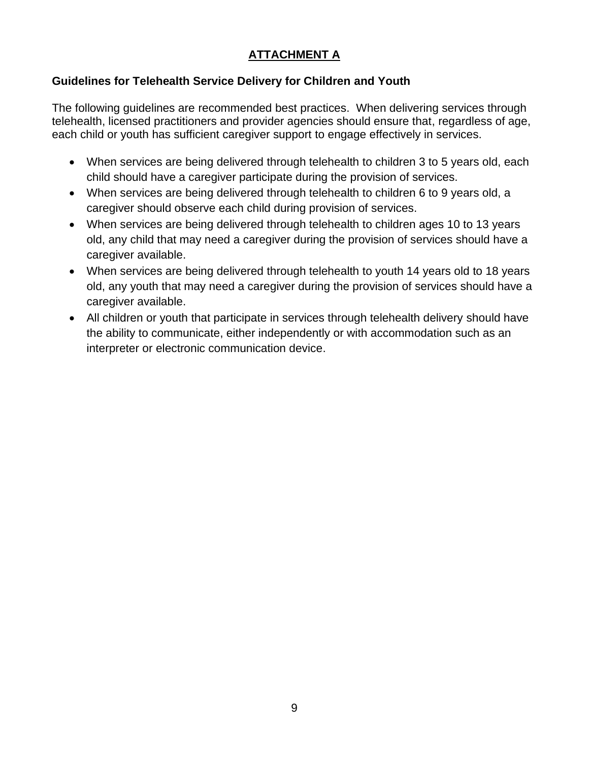## **ATTACHMENT A**

## **Guidelines for Telehealth Service Delivery for Children and Youth**

The following guidelines are recommended best practices. When delivering services through telehealth, licensed practitioners and provider agencies should ensure that, regardless of age, each child or youth has sufficient caregiver support to engage effectively in services.

- When services are being delivered through telehealth to children 3 to 5 years old, each child should have a caregiver participate during the provision of services.
- When services are being delivered through telehealth to children 6 to 9 years old, a caregiver should observe each child during provision of services.
- When services are being delivered through telehealth to children ages 10 to 13 years old, any child that may need a caregiver during the provision of services should have a caregiver available.
- When services are being delivered through telehealth to youth 14 years old to 18 years old, any youth that may need a caregiver during the provision of services should have a caregiver available.
- All children or youth that participate in services through telehealth delivery should have the ability to communicate, either independently or with accommodation such as an interpreter or electronic communication device.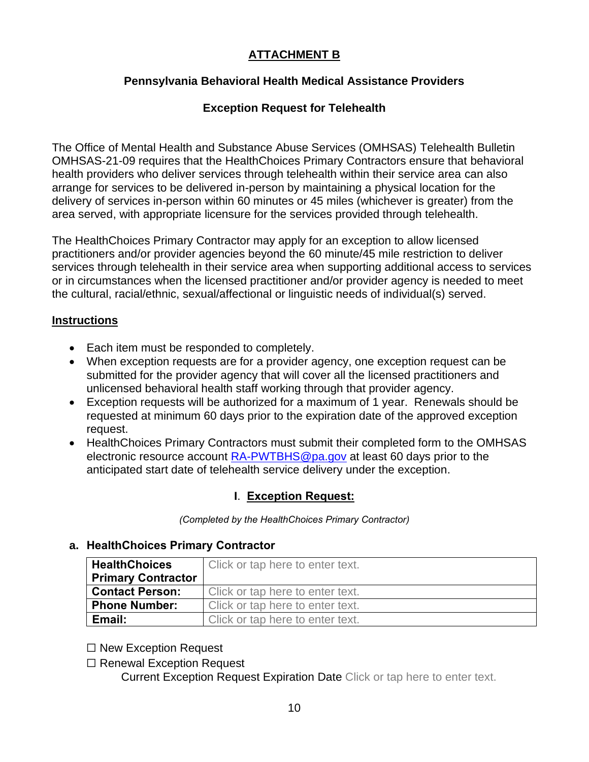## **ATTACHMENT B**

## **Pennsylvania Behavioral Health Medical Assistance Providers**

### **Exception Request for Telehealth**

The Office of Mental Health and Substance Abuse Services (OMHSAS) Telehealth Bulletin OMHSAS-21-09 requires that the HealthChoices Primary Contractors ensure that behavioral health providers who deliver services through telehealth within their service area can also arrange for services to be delivered in-person by maintaining a physical location for the delivery of services in-person within 60 minutes or 45 miles (whichever is greater) from the area served, with appropriate licensure for the services provided through telehealth.

The HealthChoices Primary Contractor may apply for an exception to allow licensed practitioners and/or provider agencies beyond the 60 minute/45 mile restriction to deliver services through telehealth in their service area when supporting additional access to services or in circumstances when the licensed practitioner and/or provider agency is needed to meet the cultural, racial/ethnic, sexual/affectional or linguistic needs of individual(s) served.

#### **Instructions**

- Each item must be responded to completely.
- When exception requests are for a provider agency, one exception request can be submitted for the provider agency that will cover all the licensed practitioners and unlicensed behavioral health staff working through that provider agency.
- Exception requests will be authorized for a maximum of 1 year. Renewals should be requested at minimum 60 days prior to the expiration date of the approved exception request.
- HealthChoices Primary Contractors must submit their completed form to the OMHSAS electronic resource account [RA-PWTBHS@pa.gov](mailto:RA-PWTBHS@pa.gov) at least 60 days prior to the anticipated start date of telehealth service delivery under the exception.

### **I**. **Exception Request:**

*(Completed by the HealthChoices Primary Contractor)*

### **a. HealthChoices Primary Contractor**

| <b>HealthChoices</b>      | Click or tap here to enter text. |
|---------------------------|----------------------------------|
| <b>Primary Contractor</b> |                                  |
| <b>Contact Person:</b>    | Click or tap here to enter text. |
| <b>Phone Number:</b>      | Click or tap here to enter text. |
| Email:                    | Click or tap here to enter text. |

☐ New Exception Request

☐ Renewal Exception Request

Current Exception Request Expiration Date Click or tap here to enter text.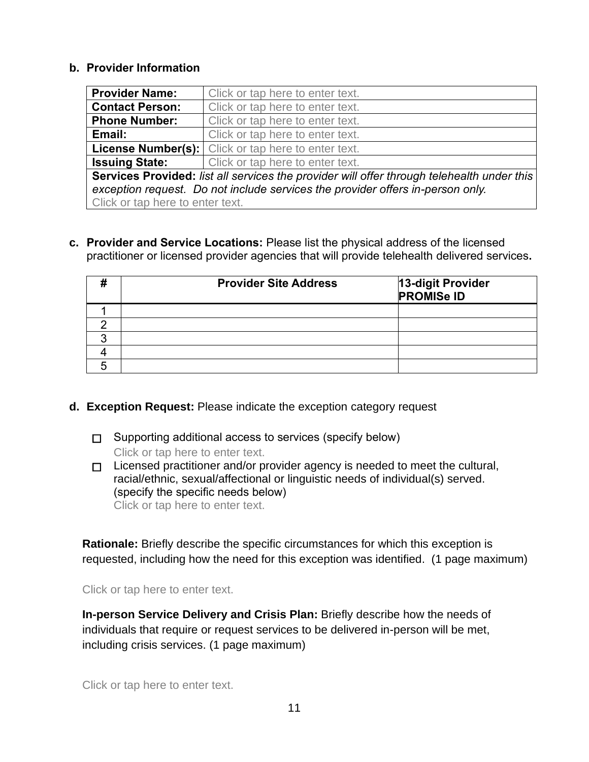#### **b. Provider Information**

| <b>Provider Name:</b>                                                                      | Click or tap here to enter text.                           |  |  |
|--------------------------------------------------------------------------------------------|------------------------------------------------------------|--|--|
| <b>Contact Person:</b>                                                                     | Click or tap here to enter text.                           |  |  |
| <b>Phone Number:</b>                                                                       | Click or tap here to enter text.                           |  |  |
| Email:                                                                                     | Click or tap here to enter text.                           |  |  |
|                                                                                            | <b>License Number(s):</b> Click or tap here to enter text. |  |  |
| <b>Issuing State:</b>                                                                      | Click or tap here to enter text.                           |  |  |
| Services Provided: list all services the provider will offer through telehealth under this |                                                            |  |  |
| exception request. Do not include services the provider offers in-person only.             |                                                            |  |  |
| Click or tap here to enter text.                                                           |                                                            |  |  |

**c. Provider and Service Locations:** Please list the physical address of the licensed practitioner or licensed provider agencies that will provide telehealth delivered services**.**

| <b>Provider Site Address</b> | 13-digit Provider<br>PROMISe ID |
|------------------------------|---------------------------------|
|                              |                                 |
|                              |                                 |
|                              |                                 |
|                              |                                 |
|                              |                                 |

- **d. Exception Request:** Please indicate the exception category request
	- ☐ Supporting additional access to services (specify below) Click or tap here to enter text.
	- $\Box$  Licensed practitioner and/or provider agency is needed to meet the cultural, racial/ethnic, sexual/affectional or linguistic needs of individual(s) served. (specify the specific needs below) Click or tap here to enter text.

**Rationale:** Briefly describe the specific circumstances for which this exception is requested, including how the need for this exception was identified. (1 page maximum)

Click or tap here to enter text.

**In-person Service Delivery and Crisis Plan:** Briefly describe how the needs of individuals that require or request services to be delivered in-person will be met, including crisis services. (1 page maximum)

Click or tap here to enter text.